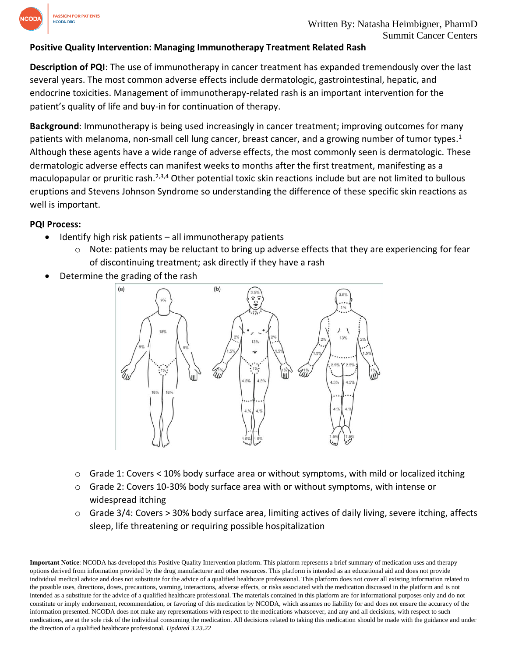

## **Positive Quality Intervention: Managing Immunotherapy Treatment Related Rash**

**Description of PQI**: The use of immunotherapy in cancer treatment has expanded tremendously over the last several years. The most common adverse effects include dermatologic, gastrointestinal, hepatic, and endocrine toxicities. Management of immunotherapy-related rash is an important intervention for the patient's quality of life and buy-in for continuation of therapy.

**Background**: Immunotherapy is being used increasingly in cancer treatment; improving outcomes for many patients with melanoma, non-small cell lung cancer, breast cancer, and a growing number of tumor types.<sup>1</sup> Although these agents have a wide range of adverse effects, the most commonly seen is dermatologic. These dermatologic adverse effects can manifest weeks to months after the first treatment, manifesting as a maculopapular or pruritic rash.<sup>2,3,4</sup> Other potential toxic skin reactions include but are not limited to bullous eruptions and Stevens Johnson Syndrome so understanding the difference of these specific skin reactions as well is important.

## **PQI Process:**

- Identify high risk patients all immunotherapy patients
	- $\circ$  Note: patients may be reluctant to bring up adverse effects that they are experiencing for fear of discontinuing treatment; ask directly if they have a rash
- Determine the grading of the rash



- o Grade 1: Covers < 10% body surface area or without symptoms, with mild or localized itching
- o Grade 2: Covers 10-30% body surface area with or without symptoms, with intense or widespread itching
- $\circ$  Grade 3/4: Covers > 30% body surface area, limiting actives of daily living, severe itching, affects sleep, life threatening or requiring possible hospitalization

**Important Notice**: NCODA has developed this Positive Quality Intervention platform. This platform represents a brief summary of medication uses and therapy options derived from information provided by the drug manufacturer and other resources. This platform is intended as an educational aid and does not provide individual medical advice and does not substitute for the advice of a qualified healthcare professional. This platform does not cover all existing information related to the possible uses, directions, doses, precautions, warning, interactions, adverse effects, or risks associated with the medication discussed in the platform and is not intended as a substitute for the advice of a qualified healthcare professional. The materials contained in this platform are for informational purposes only and do not constitute or imply endorsement, recommendation, or favoring of this medication by NCODA, which assumes no liability for and does not ensure the accuracy of the information presented. NCODA does not make any representations with respect to the medications whatsoever, and any and all decisions, with respect to such medications, are at the sole risk of the individual consuming the medication. All decisions related to taking this medication should be made with the guidance and under the direction of a qualified healthcare professional. *Updated 3.23.22*